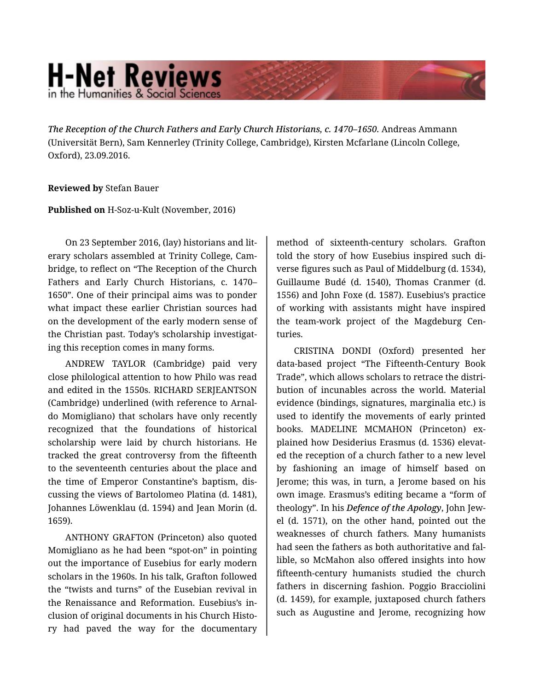## **H-Net Reviews** in the Humanities & Social Scienc

*The Reception of the Church Fathers and Early Church Historians, c. 1470–1650.* Andreas Ammann (Universität Bern), Sam Kennerley (Trinity College, Cambridge), Kirsten Mcfarlane (Lincoln College, Oxford), 23.09.2016.

## **Reviewed by** Stefan Bauer

## **Published on** H-Soz-u-Kult (November, 2016)

On 23 September 2016, (lay) historians and lit‐ erary scholars assembled at Trinity College, Cam‐ bridge, to reflect on "The Reception of the Church Fathers and Early Church Historians, c. 1470– 1650". One of their principal aims was to ponder what impact these earlier Christian sources had on the development of the early modern sense of the Christian past. Today's scholarship investigat‐ ing this reception comes in many forms.

ANDREW TAYLOR (Cambridge) paid very close philological attention to how Philo was read and edited in the 1550s. RICHARD SERJEANTSON (Cambridge) underlined (with reference to Arnal‐ do Momigliano) that scholars have only recently recognized that the foundations of historical scholarship were laid by church historians. He tracked the great controversy from the fifteenth to the seventeenth centuries about the place and the time of Emperor Constantine's baptism, dis‐ cussing the views of Bartolomeo Platina (d. 1481), Johannes Löwenklau (d. 1594) and Jean Morin (d. 1659).

ANTHONY GRAFTON (Princeton) also quoted Momigliano as he had been "spot-on" in pointing out the importance of Eusebius for early modern scholars in the 1960s. In his talk, Grafton followed the "twists and turns" of the Eusebian revival in the Renaissance and Reformation. Eusebius's in‐ clusion of original documents in his Church Histo‐ ry had paved the way for the documentary method of sixteenth-century scholars. Grafton told the story of how Eusebius inspired such di‐ verse figures such as Paul of Middelburg (d. 1534), Guillaume Budé (d. 1540), Thomas Cranmer (d. 1556) and John Foxe (d. 1587). Eusebius's practice of working with assistants might have inspired the team-work project of the Magdeburg Cen‐ turies.

CRISTINA DONDI (Oxford) presented her data-based project "The Fifteenth-Century Book Trade", which allows scholars to retrace the distri‐ bution of incunables across the world. Material evidence (bindings, signatures, marginalia etc.) is used to identify the movements of early printed books. MADELINE MCMAHON (Princeton) ex‐ plained how Desiderius Erasmus (d. 1536) elevat‐ ed the reception of a church father to a new level by fashioning an image of himself based on Jerome; this was, in turn, a Jerome based on his own image. Erasmus's editing became a "form of theology". In his *Defence of the Apology*, John Jew‐ el (d. 1571), on the other hand, pointed out the weaknesses of church fathers. Many humanists had seen the fathers as both authoritative and fal‐ lible, so McMahon also offered insights into how fifteenth-century humanists studied the church fathers in discerning fashion. Poggio Bracciolini (d. 1459), for example, juxtaposed church fathers such as Augustine and Jerome, recognizing how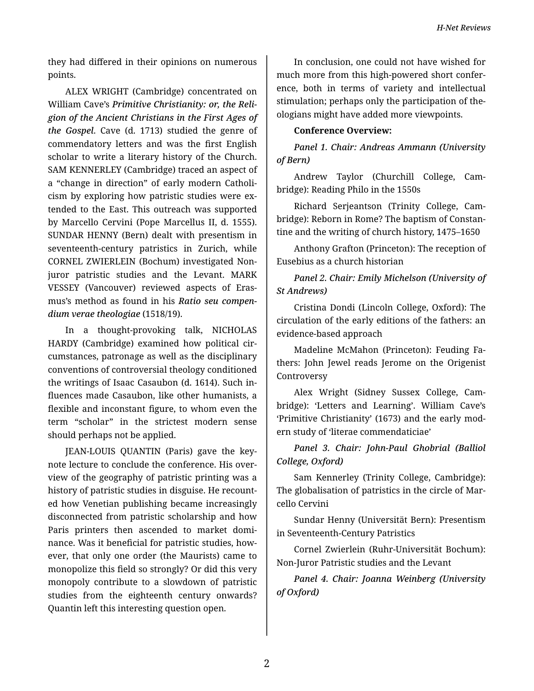they had differed in their opinions on numerous points.

ALEX WRIGHT (Cambridge) concentrated on William Cave's *Primitive Christianity: or, the Reli‐ gion of the Ancient Christians in the First Ages of the Gospel*. Cave (d. 1713) studied the genre of commendatory letters and was the first English scholar to write a literary history of the Church. SAM KENNERLEY (Cambridge) traced an aspect of a "change in direction" of early modern Catholi‐ cism by exploring how patristic studies were extended to the East. This outreach was supported by Marcello Cervini (Pope Marcellus II, d. 1555). SUNDAR HENNY (Bern) dealt with presentism in seventeenth-century patristics in Zurich, while CORNEL ZWIERLEIN (Bochum) investigated Nonjuror patristic studies and the Levant. MARK VESSEY (Vancouver) reviewed aspects of Eras‐ mus's method as found in his *Ratio seu compen‐ dium verae theologiae* (1518/19).

In a thought-provoking talk, NICHOLAS HARDY (Cambridge) examined how political cir‐ cumstances, patronage as well as the disciplinary conventions of controversial theology conditioned the writings of Isaac Casaubon (d. 1614). Such in‐ fluences made Casaubon, like other humanists, a flexible and inconstant figure, to whom even the term "scholar" in the strictest modern sense should perhaps not be applied.

JEAN-LOUIS QUANTIN (Paris) gave the key‐ note lecture to conclude the conference. His over‐ view of the geography of patristic printing was a history of patristic studies in disguise. He recount‐ ed how Venetian publishing became increasingly disconnected from patristic scholarship and how Paris printers then ascended to market domi‐ nance. Was it beneficial for patristic studies, how‐ ever, that only one order (the Maurists) came to monopolize this field so strongly? Or did this very monopoly contribute to a slowdown of patristic studies from the eighteenth century onwards? Quantin left this interesting question open.

In conclusion, one could not have wished for much more from this high-powered short confer‐ ence, both in terms of variety and intellectual stimulation; perhaps only the participation of the‐ ologians might have added more viewpoints.

## **Conference Overview:**

*Panel 1. Chair: Andreas Ammann (University of Bern)*

Andrew Taylor (Churchill College, Cam‐ bridge): Reading Philo in the 1550s

Richard Serjeantson (Trinity College, Cam‐ bridge): Reborn in Rome? The baptism of Constan‐ tine and the writing of church history, 1475–1650

Anthony Grafton (Princeton): The reception of Eusebius as a church historian

*Panel 2. Chair: Emily Michelson (University of St Andrews)*

Cristina Dondi (Lincoln College, Oxford): The circulation of the early editions of the fathers: an evidence-based approach

Madeline McMahon (Princeton): Feuding Fa‐ thers: John Jewel reads Jerome on the Origenist Controversy

Alex Wright (Sidney Sussex College, Cam‐ bridge): 'Letters and Learning'. William Cave's 'Primitive Christianity' (1673) and the early mod‐ ern study of 'literae commendaticiae'

*Panel 3. Chair: John-Paul Ghobrial (Balliol College, Oxford)*

Sam Kennerley (Trinity College, Cambridge): The globalisation of patristics in the circle of Mar‐ cello Cervini

Sundar Henny (Universität Bern): Presentism in Seventeenth-Century Patristics

Cornel Zwierlein (Ruhr-Universität Bochum): Non-Juror Patristic studies and the Levant

*Panel 4. Chair: Joanna Weinberg (University of Oxford)*